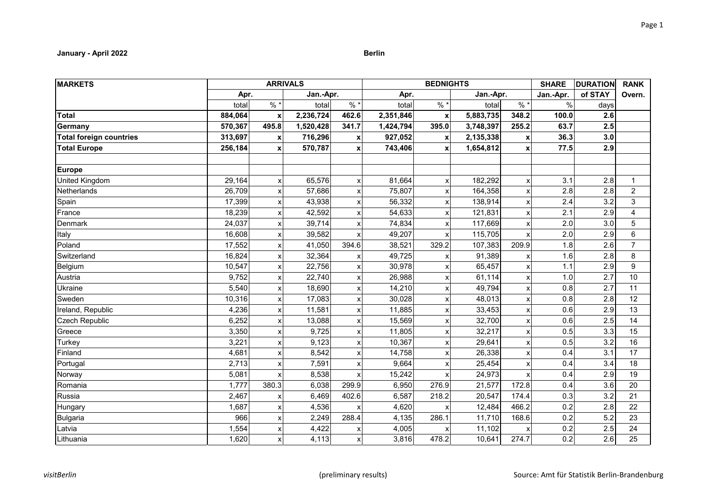# **January - April 2022 Berlin**

| <b>MARKETS</b>                 |         |                           | <b>ARRIVALS</b> |       |           | <b>BEDNIGHTS</b>          |           |               | <b>SHARE</b>  | <b>DURATION</b> | <b>RANK</b>    |
|--------------------------------|---------|---------------------------|-----------------|-------|-----------|---------------------------|-----------|---------------|---------------|-----------------|----------------|
|                                | Apr.    |                           | Jan.-Apr.       |       | Apr.      |                           | Jan.-Apr. |               | Jan.-Apr.     | of STAY         | Overn.         |
|                                | total   | $\frac{1}{6}$             | total           | $%$ * | total     | $%$ $*$                   | total     | $\frac{9}{6}$ | $\frac{9}{6}$ | days            |                |
| <b>Total</b>                   | 884,064 | $\boldsymbol{\mathsf{x}}$ | 2,236,724       | 462.6 | 2,351,846 | $\mathbf x$               | 5,883,735 | 348.2         | 100.0         | 2.6             |                |
| Germany                        | 570,367 | 495.8                     | 1,520,428       | 341.7 | 1,424,794 | 395.0                     | 3,748,397 | 255.2         | 63.7          | 2.5             |                |
| <b>Total foreign countries</b> | 313,697 | X                         | 716,296         | x     | 927,052   | x                         | 2,135,338 | X             | 36.3          | 3.0             |                |
| <b>Total Europe</b>            | 256,184 | X                         | 570,787         | x     | 743,406   | X                         | 1,654,812 |               | 77.5          | 2.9             |                |
| <b>Europe</b>                  |         |                           |                 |       |           |                           |           |               |               |                 |                |
| <b>United Kingdom</b>          | 29,164  | $\boldsymbol{\mathsf{x}}$ | 65,576          | X     | 81,664    | X                         | 182,292   |               | 3.1           | 2.8             | $\mathbf{1}$   |
| Netherlands                    | 26,709  | X                         | 57,686          | x     | 75,807    | X                         | 164,358   |               | 2.8           | 2.8             | $\overline{2}$ |
| Spain                          | 17,399  |                           | 43,938          | x     | 56,332    | X                         | 138,914   |               | 2.4           | 3.2             | 3              |
| France                         | 18,239  |                           | 42,592          | x     | 54,633    |                           | 121,831   |               | 2.1           | 2.9             | 4              |
| <b>Denmark</b>                 | 24,037  | $\boldsymbol{\mathsf{x}}$ | 39,714          | X     | 74,834    | X                         | 117,669   |               | 2.0           | 3.0             | 5              |
| Italy                          | 16,608  | $\boldsymbol{\mathsf{x}}$ | 39,582          | X     | 49,207    | X                         | 115,705   |               | 2.0           | 2.9             | 6              |
| Poland                         | 17,552  |                           | 41,050          | 394.6 | 38,521    | 329.2                     | 107,383   | 209.9         | 1.8           | 2.6             | $\overline{7}$ |
| Switzerland                    | 16,824  | X                         | 32,364          | х     | 49,725    |                           | 91,389    |               | 1.6           | 2.8             | 8              |
| Belgium                        | 10,547  |                           | 22,756          | x     | 30,978    |                           | 65,457    |               | 1.1           | 2.9             | 9              |
| Austria                        | 9,752   | $\boldsymbol{\mathsf{x}}$ | 22,740          | X     | 26,988    | $\boldsymbol{\mathsf{x}}$ | 61,114    |               | 1.0           | 2.7             | 10             |
| Ukraine                        | 5,540   | $\boldsymbol{\mathsf{x}}$ | 18,690          | X     | 14,210    | X                         | 49,794    |               | 0.8           | 2.7             | 11             |
| Sweden                         | 10,316  | X                         | 17,083          | x     | 30,028    | X                         | 48,013    |               | 0.8           | 2.8             | 12             |
| Ireland, Republic              | 4,236   | $\boldsymbol{\mathsf{x}}$ | 11,581          | x     | 11,885    | X                         | 33,453    |               | 0.6           | 2.9             | 13             |
| <b>Czech Republic</b>          | 6,252   |                           | 13,088          | X     | 15,569    | X                         | 32,700    |               | 0.6           | 2.5             | 14             |
| Greece                         | 3,350   | X                         | 9,725           | X     | 11,805    | X                         | 32,217    |               | 0.5           | 3.3             | 15             |
| Turkey                         | 3,221   | X                         | 9,123           | x     | 10,367    | X                         | 29,641    |               | 0.5           | 3.2             | 16             |
| Finland                        | 4,681   | X                         | 8,542           | x     | 14,758    | X                         | 26,338    |               | 0.4           | 3.1             | 17             |
| Portugal                       | 2,713   | X                         | 7,591           | x     | 9,664     |                           | 25,454    |               | 0.4           | 3.4             | 18             |
| Norway                         | 5,081   |                           | 8,538           | X     | 15,242    |                           | 24,973    |               | 0.4           | 2.9             | 19             |
| Romania                        | 1,777   | 380.3                     | 6,038           | 299.9 | 6,950     | 276.9                     | 21,577    | 172.8         | 0.4           | 3.6             | 20             |
| Russia                         | 2,467   |                           | 6,469           | 402.6 | 6,587     | 218.2                     | 20,547    | 174.4         | 0.3           | 3.2             | 21             |
| Hungary                        | 1,687   | X                         | 4,536           | x     | 4,620     | X                         | 12,484    | 466.2         | 0.2           | 2.8             | 22             |
| Bulgaria                       | 966     | X                         | 2,249           | 288.4 | 4,135     | 286.1                     | 11,710    | 168.6         | 0.2           | 5.2             | 23             |
| Latvia                         | 1,554   | X                         | 4,422           | x     | 4,005     |                           | 11,102    |               | 0.2           | 2.5             | 24             |
| Lithuania                      | 1,620   | X                         | 4,113           | X     | 3,816     | 478.2                     | 10,641    | 274.7         | 0.2           | 2.6             | 25             |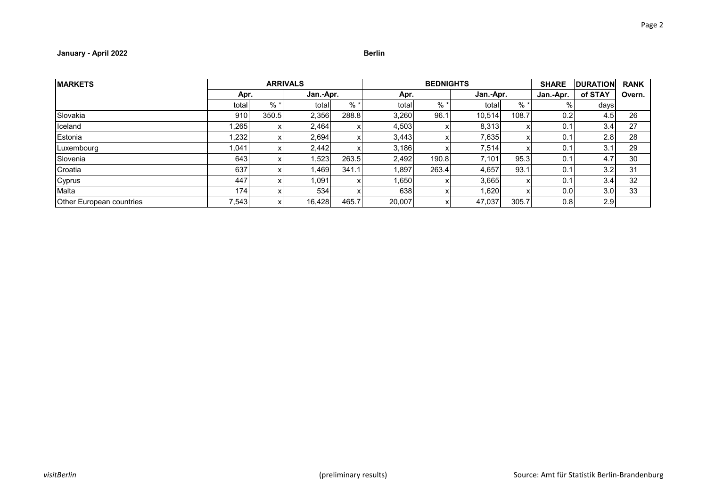# **January - April 2022 Berlin**

| <b>MARKETS</b>                  |        |       | <b>ARRIVALS</b> |           |        | <b>BEDNIGHTS</b> |        | <b>SHARE</b> | <b>DURATION</b> | <b>RANK</b>      |        |
|---------------------------------|--------|-------|-----------------|-----------|--------|------------------|--------|--------------|-----------------|------------------|--------|
|                                 |        | Apr.  |                 | Jan.-Apr. |        | Apr.             |        | Jan.-Apr.    |                 | of STAY          | Overn. |
|                                 | totall | $% *$ | total           | $%$ *     | total  | $%$ *            | total  | $%$ *        | 0/2             | days             |        |
| Slovakia                        | 910    | 350.5 | 2,356           | 288.8     | 3,260  | 96.1             | 10.514 | 108.7        | 0.2             | 4.5              | 26     |
| Iceland                         | .265   |       | 2,464           |           | 4,503  |                  | 8,313  |              | 0.1             | 3.4              | 27     |
| Estonia                         | 1,232  |       | 2,694           |           | 3,443  |                  | 7,635  |              | 0.1             | 2.8              | 28     |
| Luxembourg                      | 1,041  |       | 2.442           |           | 3.186  |                  | 7,514  |              | 0.1             | 3.1              | 29     |
| Slovenia                        | 643    |       | .523            | 263.5     | 2,492  | 190.8            | 7,101  | 95.3         | 0.1             | 4.7              | 30     |
| Croatia                         | 637    |       | ا 469.،         | 341.1     | 1,897  | 263.4            | 4,657  | 93.1         | 0.1             | 3.2 <sub>1</sub> | 31     |
| Cyprus                          | 447    |       | 1.091           |           | 1,650  |                  | 3,665  |              | 0.1             | 3.4              | 32     |
| Malta                           | 174    |       | 534             |           | 638    |                  | 1.620  |              | 0.0             | 3.0 <sub>l</sub> | 33     |
| <b>Other European countries</b> | 7,543  |       | 16,428          | 465.7     | 20,007 |                  | 47,037 | 305.7        | 0.8             | 2.9              |        |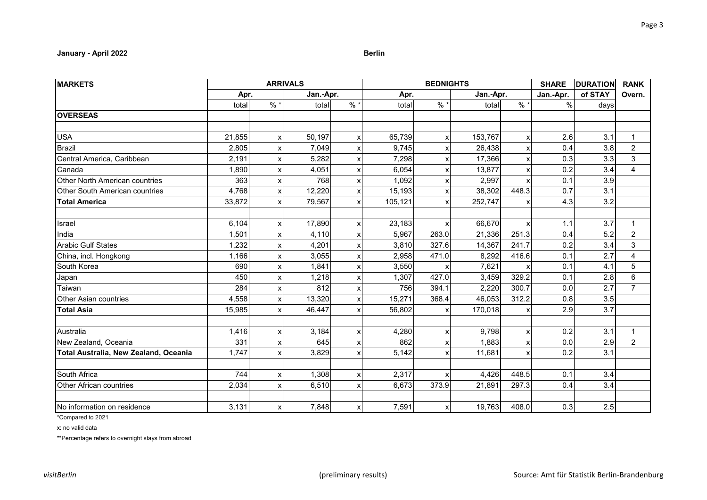# **January - April 2022 Berlin**

| <b>MARKETS</b>                        |        |   | <b>ARRIVALS</b> |                           |         | <b>BEDNIGHTS</b>          |           |       | <b>SHARE</b>  | <b>DURATION</b> | <b>RANK</b>    |
|---------------------------------------|--------|---|-----------------|---------------------------|---------|---------------------------|-----------|-------|---------------|-----------------|----------------|
|                                       | Apr.   |   | Jan.-Apr.       |                           | Apr.    |                           | Jan.-Apr. |       | Jan.-Apr.     | of STAY         | Overn.         |
|                                       | total  | % | total           | %                         | total   | %                         | total     | %     | $\frac{0}{0}$ | days            |                |
| <b>OVERSEAS</b>                       |        |   |                 |                           |         |                           |           |       |               |                 |                |
|                                       |        |   |                 |                           |         |                           |           |       |               |                 |                |
| <b>USA</b>                            | 21,855 | X | 50,197          | X                         | 65,739  | $\boldsymbol{\mathsf{x}}$ | 153,767   |       | 2.6           | 3.1             | $\mathbf{1}$   |
| <b>Brazil</b>                         | 2,805  |   | 7,049           | x                         | 9,745   |                           | 26,438    |       | 0.4           | 3.8             | $\overline{c}$ |
| Central America, Caribbean            | 2,191  | X | 5,282           | X                         | 7,298   |                           | 17,366    |       | 0.3           | 3.3             | 3              |
| Canada                                | 1,890  | X | 4,051           | X                         | 6,054   |                           | 13,877    |       | 0.2           | 3.4             | 4              |
| <b>Other North American countries</b> | 363    | X | 768             | X                         | 1,092   |                           | 2,997     |       | 0.1           | 3.9             |                |
| Other South American countries        | 4,768  | X | 12,220          | X                         | 15,193  |                           | 38,302    | 448.3 | 0.7           | 3.1             |                |
| <b>Total America</b>                  | 33,872 |   | 79,567          | X                         | 105,121 |                           | 252,747   |       | 4.3           | 3.2             |                |
|                                       |        |   |                 |                           |         |                           |           |       |               |                 |                |
| Israel                                | 6,104  | x | 17,890          | X                         | 23,183  | X                         | 66,670    |       | 1.1           | 3.7             | $\mathbf 1$    |
| India                                 | 1,501  | X | 4,110           | $\boldsymbol{\mathsf{x}}$ | 5,967   | 263.0                     | 21,336    | 251.3 | 0.4           | 5.2             | $\overline{2}$ |
| <b>Arabic Gulf States</b>             | 1,232  |   | 4,201           | X                         | 3,810   | 327.6                     | 14,367    | 241.7 | 0.2           | 3.4             | 3              |
| China, incl. Hongkong                 | 1,166  | X | 3,055           | X                         | 2,958   | 471.0                     | 8,292     | 416.6 | 0.1           | 2.7             | 4              |
| South Korea                           | 690    |   | 1,841           | X                         | 3,550   |                           | 7,621     |       | 0.1           | 4.1             | $\overline{5}$ |
| Japan                                 | 450    |   | 1,218           | x                         | 1,307   | 427.0                     | 3,459     | 329.2 | 0.1           | 2.8             | 6              |
| Taiwan                                | 284    | X | 812             | X                         | 756     | 394.1                     | 2,220     | 300.7 | 0.0           | 2.7             | $\overline{7}$ |
| Other Asian countries                 | 4,558  | X | 13,320          | X                         | 15,271  | 368.4                     | 46,053    | 312.2 | 0.8           | 3.5             |                |
| <b>Total Asia</b>                     | 15,985 | X | 46,447          | $\boldsymbol{\mathsf{x}}$ | 56,802  | X                         | 170,018   |       | 2.9           | 3.7             |                |
|                                       |        |   |                 |                           |         |                           |           |       |               |                 |                |
| Australia                             | 1,416  | x | 3,184           | X                         | 4,280   |                           | 9,798     |       | 0.2           | 3.1             | $\mathbf{1}$   |
| New Zealand, Oceania                  | 331    | х | 645             | X                         | 862     |                           | 1,883     |       | 0.0           | 2.9             | $\overline{2}$ |
| Total Australia, New Zealand, Oceania | 1,747  | x | 3,829           | $\boldsymbol{\mathsf{x}}$ | 5,142   |                           | 11,681    |       | 0.2           | 3.1             |                |
|                                       |        |   |                 |                           |         |                           |           |       |               |                 |                |
| South Africa                          | 744    | X | 1,308           | X                         | 2,317   |                           | 4,426     | 448.5 | 0.1           | 3.4             |                |
| Other African countries               | 2,034  | X | 6,510           | $\boldsymbol{\mathsf{x}}$ | 6,673   | 373.9                     | 21,891    | 297.3 | 0.4           | 3.4             |                |
|                                       |        |   |                 |                           |         |                           |           |       |               |                 |                |
| No information on residence           | 3,131  | х | 7,848           | X                         | 7,591   | х                         | 19,763    | 408.0 | 0.3           | 2.5             |                |

\*Compared to 2021

x: no valid data

\*\*Percentage refers to overnight stays from abroad